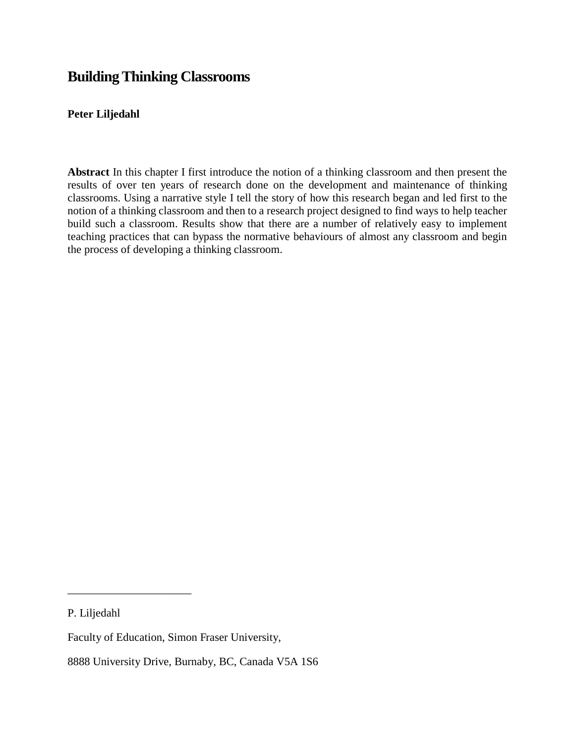# **Building Thinking Classrooms**

## **Peter Liljedahl**

**Abstract** In this chapter I first introduce the notion of a thinking classroom and then present the results of over ten years of research done on the development and maintenance of thinking classrooms. Using a narrative style I tell the story of how this research began and led first to the notion of a thinking classroom and then to a research project designed to find ways to help teacher build such a classroom. Results show that there are a number of relatively easy to implement teaching practices that can bypass the normative behaviours of almost any classroom and begin the process of developing a thinking classroom.

P. Liljedahl

\_\_\_\_\_\_\_\_\_\_\_\_\_\_\_\_\_\_\_\_\_\_

Faculty of Education, Simon Fraser University,

<sup>8888</sup> University Drive, Burnaby, BC, Canada V5A 1S6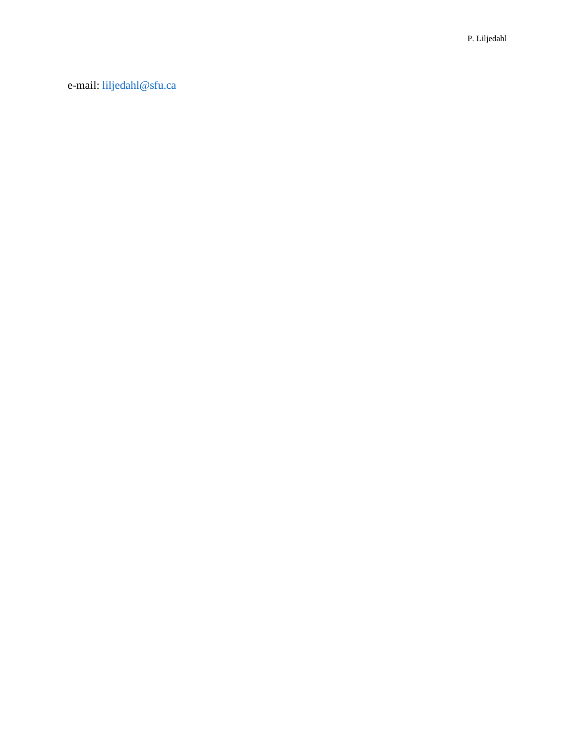e-mail: [liljedahl@sfu.ca](mailto:liljedahl@sfu.ca)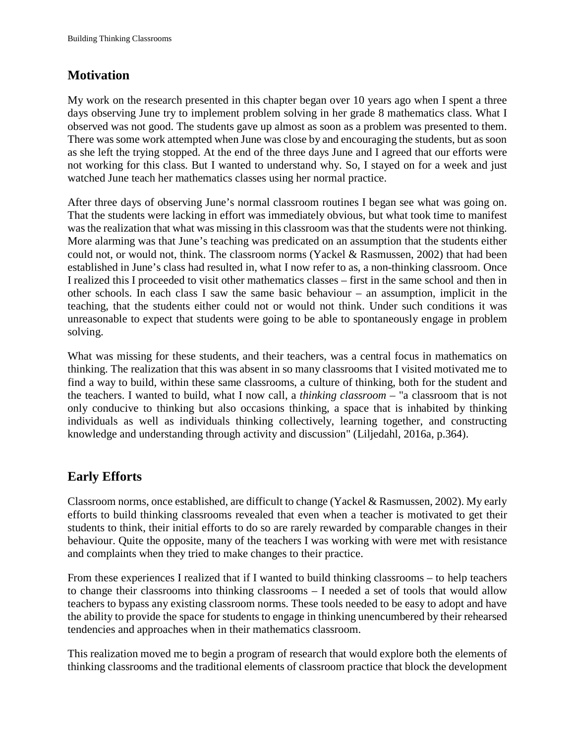## **Motivation**

My work on the research presented in this chapter began over 10 years ago when I spent a three days observing June try to implement problem solving in her grade 8 mathematics class. What I observed was not good. The students gave up almost as soon as a problem was presented to them. There was some work attempted when June was close by and encouraging the students, but as soon as she left the trying stopped. At the end of the three days June and I agreed that our efforts were not working for this class. But I wanted to understand why. So, I stayed on for a week and just watched June teach her mathematics classes using her normal practice.

After three days of observing June's normal classroom routines I began see what was going on. That the students were lacking in effort was immediately obvious, but what took time to manifest was the realization that what was missing in this classroom was that the students were not thinking. More alarming was that June's teaching was predicated on an assumption that the students either could not, or would not, think. The classroom norms (Yackel & Rasmussen, 2002) that had been established in June's class had resulted in, what I now refer to as, a non-thinking classroom. Once I realized this I proceeded to visit other mathematics classes – first in the same school and then in other schools. In each class I saw the same basic behaviour – an assumption, implicit in the teaching, that the students either could not or would not think. Under such conditions it was unreasonable to expect that students were going to be able to spontaneously engage in problem solving.

What was missing for these students, and their teachers, was a central focus in mathematics on thinking. The realization that this was absent in so many classrooms that I visited motivated me to find a way to build, within these same classrooms, a culture of thinking, both for the student and the teachers. I wanted to build, what I now call, a *thinking classroom* – "a classroom that is not only conducive to thinking but also occasions thinking, a space that is inhabited by thinking individuals as well as individuals thinking collectively, learning together, and constructing knowledge and understanding through activity and discussion" (Liljedahl, 2016a, p.364).

## **Early Efforts**

Classroom norms, once established, are difficult to change (Yackel & Rasmussen, 2002). My early efforts to build thinking classrooms revealed that even when a teacher is motivated to get their students to think, their initial efforts to do so are rarely rewarded by comparable changes in their behaviour. Quite the opposite, many of the teachers I was working with were met with resistance and complaints when they tried to make changes to their practice.

From these experiences I realized that if I wanted to build thinking classrooms – to help teachers to change their classrooms into thinking classrooms – I needed a set of tools that would allow teachers to bypass any existing classroom norms. These tools needed to be easy to adopt and have the ability to provide the space for students to engage in thinking unencumbered by their rehearsed tendencies and approaches when in their mathematics classroom.

This realization moved me to begin a program of research that would explore both the elements of thinking classrooms and the traditional elements of classroom practice that block the development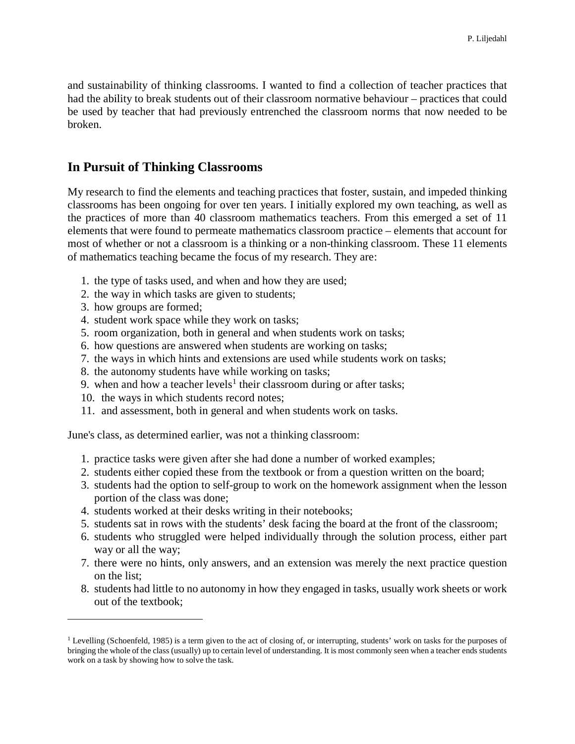and sustainability of thinking classrooms. I wanted to find a collection of teacher practices that had the ability to break students out of their classroom normative behaviour – practices that could be used by teacher that had previously entrenched the classroom norms that now needed to be broken.

## **In Pursuit of Thinking Classrooms**

My research to find the elements and teaching practices that foster, sustain, and impeded thinking classrooms has been ongoing for over ten years. I initially explored my own teaching, as well as the practices of more than 40 classroom mathematics teachers. From this emerged a set of 11 elements that were found to permeate mathematics classroom practice – elements that account for most of whether or not a classroom is a thinking or a non-thinking classroom. These 11 elements of mathematics teaching became the focus of my research. They are:

- 1. the type of tasks used, and when and how they are used;
- 2. the way in which tasks are given to students;
- 3. how groups are formed;

 $\overline{a}$ 

- 4. student work space while they work on tasks;
- 5. room organization, both in general and when students work on tasks;
- 6. how questions are answered when students are working on tasks;
- 7. the ways in which hints and extensions are used while students work on tasks;
- 8. the autonomy students have while working on tasks;
- 9. when and how a teacher levels<sup>[1](#page-3-0)</sup> their classroom during or after tasks;
- 10. the ways in which students record notes;
- 11. and assessment, both in general and when students work on tasks.

June's class, as determined earlier, was not a thinking classroom:

- 1. practice tasks were given after she had done a number of worked examples;
- 2. students either copied these from the textbook or from a question written on the board;
- 3. students had the option to self-group to work on the homework assignment when the lesson portion of the class was done;
- 4. students worked at their desks writing in their notebooks;
- 5. students sat in rows with the students' desk facing the board at the front of the classroom;
- 6. students who struggled were helped individually through the solution process, either part way or all the way;
- 7. there were no hints, only answers, and an extension was merely the next practice question on the list;
- 8. students had little to no autonomy in how they engaged in tasks, usually work sheets or work out of the textbook;

<span id="page-3-0"></span><sup>&</sup>lt;sup>1</sup> Levelling (Schoenfeld, 1985) is a term given to the act of closing of, or interrupting, students' work on tasks for the purposes of bringing the whole of the class (usually) up to certain level of understanding. It is most commonly seen when a teacher ends students work on a task by showing how to solve the task.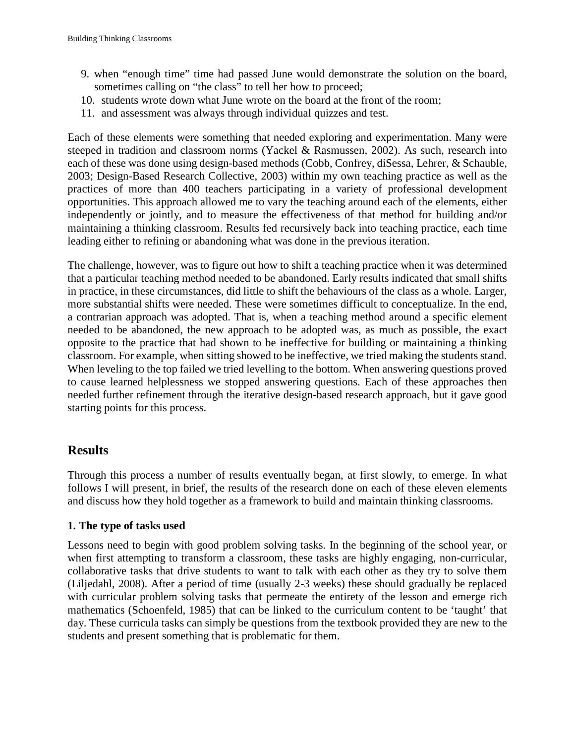- 9. when "enough time" time had passed June would demonstrate the solution on the board, sometimes calling on "the class" to tell her how to proceed;
- 10. students wrote down what June wrote on the board at the front of the room;
- 11. and assessment was always through individual quizzes and test.

Each of these elements were something that needed exploring and experimentation. Many were steeped in tradition and classroom norms (Yackel & Rasmussen, 2002). As such, research into each of these was done using design-based methods (Cobb, Confrey, diSessa, Lehrer, & Schauble, 2003; Design-Based Research Collective, 2003) within my own teaching practice as well as the practices of more than 400 teachers participating in a variety of professional development opportunities. This approach allowed me to vary the teaching around each of the elements, either independently or jointly, and to measure the effectiveness of that method for building and/or maintaining a thinking classroom. Results fed recursively back into teaching practice, each time leading either to refining or abandoning what was done in the previous iteration.

The challenge, however, was to figure out how to shift a teaching practice when it was determined that a particular teaching method needed to be abandoned. Early results indicated that small shifts in practice, in these circumstances, did little to shift the behaviours of the class as a whole. Larger, more substantial shifts were needed. These were sometimes difficult to conceptualize. In the end, a contrarian approach was adopted. That is, when a teaching method around a specific element needed to be abandoned, the new approach to be adopted was, as much as possible, the exact opposite to the practice that had shown to be ineffective for building or maintaining a thinking classroom. For example, when sitting showed to be ineffective, we tried making the students stand. When leveling to the top failed we tried levelling to the bottom. When answering questions proved to cause learned helplessness we stopped answering questions. Each of these approaches then needed further refinement through the iterative design-based research approach, but it gave good starting points for this process.

## **Results**

Through this process a number of results eventually began, at first slowly, to emerge. In what follows I will present, in brief, the results of the research done on each of these eleven elements and discuss how they hold together as a framework to build and maintain thinking classrooms.

#### **1. The type of tasks used**

Lessons need to begin with good problem solving tasks. In the beginning of the school year, or when first attempting to transform a classroom, these tasks are highly engaging, non-curricular, collaborative tasks that drive students to want to talk with each other as they try to solve them (Liljedahl, 2008). After a period of time (usually 2-3 weeks) these should gradually be replaced with curricular problem solving tasks that permeate the entirety of the lesson and emerge rich mathematics (Schoenfeld, 1985) that can be linked to the curriculum content to be 'taught' that day. These curricula tasks can simply be questions from the textbook provided they are new to the students and present something that is problematic for them.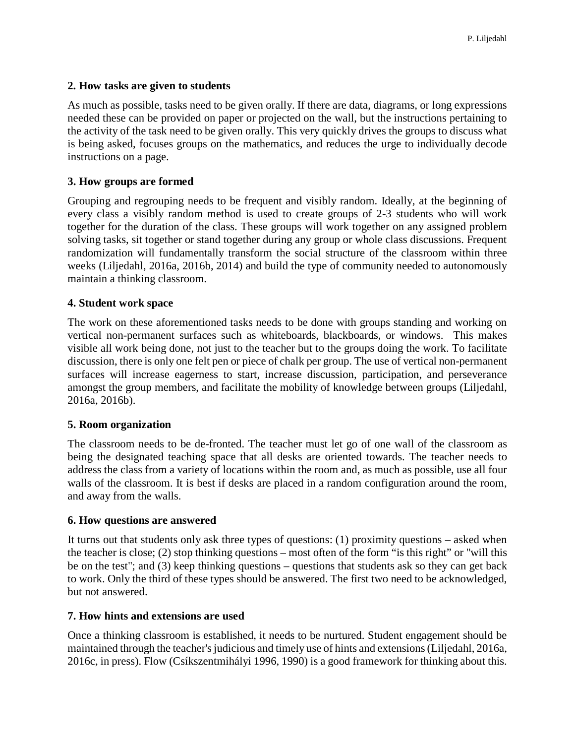### **2. How tasks are given to students**

As much as possible, tasks need to be given orally. If there are data, diagrams, or long expressions needed these can be provided on paper or projected on the wall, but the instructions pertaining to the activity of the task need to be given orally. This very quickly drives the groups to discuss what is being asked, focuses groups on the mathematics, and reduces the urge to individually decode instructions on a page.

### **3. How groups are formed**

Grouping and regrouping needs to be frequent and visibly random. Ideally, at the beginning of every class a visibly random method is used to create groups of 2-3 students who will work together for the duration of the class. These groups will work together on any assigned problem solving tasks, sit together or stand together during any group or whole class discussions. Frequent randomization will fundamentally transform the social structure of the classroom within three weeks (Liljedahl, 2016a, 2016b, 2014) and build the type of community needed to autonomously maintain a thinking classroom.

#### **4. Student work space**

The work on these aforementioned tasks needs to be done with groups standing and working on vertical non-permanent surfaces such as whiteboards, blackboards, or windows. This makes visible all work being done, not just to the teacher but to the groups doing the work. To facilitate discussion, there is only one felt pen or piece of chalk per group. The use of vertical non-permanent surfaces will increase eagerness to start, increase discussion, participation, and perseverance amongst the group members, and facilitate the mobility of knowledge between groups (Liljedahl, 2016a, 2016b).

#### **5. Room organization**

The classroom needs to be de-fronted. The teacher must let go of one wall of the classroom as being the designated teaching space that all desks are oriented towards. The teacher needs to address the class from a variety of locations within the room and, as much as possible, use all four walls of the classroom. It is best if desks are placed in a random configuration around the room, and away from the walls.

#### **6. How questions are answered**

It turns out that students only ask three types of questions: (1) proximity questions – asked when the teacher is close; (2) stop thinking questions – most often of the form "is this right" or "will this be on the test"; and (3) keep thinking questions – questions that students ask so they can get back to work. Only the third of these types should be answered. The first two need to be acknowledged, but not answered.

#### **7. How hints and extensions are used**

Once a thinking classroom is established, it needs to be nurtured. Student engagement should be maintained through the teacher's judicious and timely use of hints and extensions (Liljedahl, 2016a, 2016c, in press). Flow (Csíkszentmihályi 1996, 1990) is a good framework for thinking about this.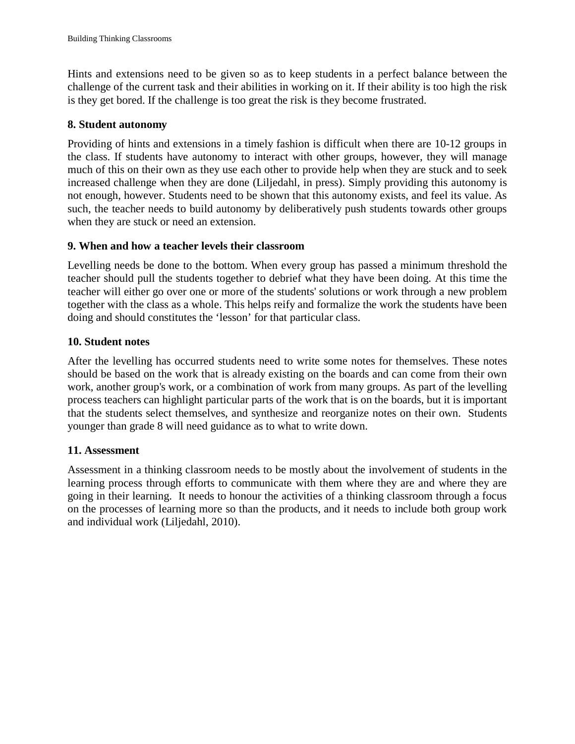Hints and extensions need to be given so as to keep students in a perfect balance between the challenge of the current task and their abilities in working on it. If their ability is too high the risk is they get bored. If the challenge is too great the risk is they become frustrated.

## **8. Student autonomy**

Providing of hints and extensions in a timely fashion is difficult when there are 10-12 groups in the class. If students have autonomy to interact with other groups, however, they will manage much of this on their own as they use each other to provide help when they are stuck and to seek increased challenge when they are done (Liljedahl, in press). Simply providing this autonomy is not enough, however. Students need to be shown that this autonomy exists, and feel its value. As such, the teacher needs to build autonomy by deliberatively push students towards other groups when they are stuck or need an extension.

## **9. When and how a teacher levels their classroom**

Levelling needs be done to the bottom. When every group has passed a minimum threshold the teacher should pull the students together to debrief what they have been doing. At this time the teacher will either go over one or more of the students' solutions or work through a new problem together with the class as a whole. This helps reify and formalize the work the students have been doing and should constitutes the 'lesson' for that particular class.

## **10. Student notes**

After the levelling has occurred students need to write some notes for themselves. These notes should be based on the work that is already existing on the boards and can come from their own work, another group's work, or a combination of work from many groups. As part of the levelling process teachers can highlight particular parts of the work that is on the boards, but it is important that the students select themselves, and synthesize and reorganize notes on their own. Students younger than grade 8 will need guidance as to what to write down.

### **11. Assessment**

Assessment in a thinking classroom needs to be mostly about the involvement of students in the learning process through efforts to communicate with them where they are and where they are going in their learning. It needs to honour the activities of a thinking classroom through a focus on the processes of learning more so than the products, and it needs to include both group work and individual work (Liljedahl, 2010).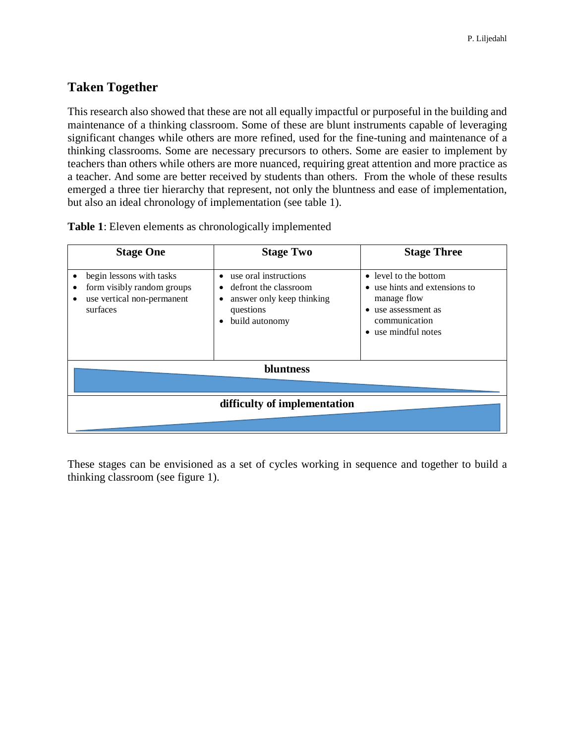## **Taken Together**

This research also showed that these are not all equally impactful or purposeful in the building and maintenance of a thinking classroom. Some of these are blunt instruments capable of leveraging significant changes while others are more refined, used for the fine-tuning and maintenance of a thinking classrooms. Some are necessary precursors to others. Some are easier to implement by teachers than others while others are more nuanced, requiring great attention and more practice as a teacher. And some are better received by students than others. From the whole of these results emerged a three tier hierarchy that represent, not only the bluntness and ease of implementation, but also an ideal chronology of implementation (see table 1).

| <b>Stage One</b>                                                                                 | <b>Stage Two</b>                                                                                                        | <b>Stage Three</b>                                                                                                                            |
|--------------------------------------------------------------------------------------------------|-------------------------------------------------------------------------------------------------------------------------|-----------------------------------------------------------------------------------------------------------------------------------------------|
| begin lessons with tasks<br>form visibly random groups<br>use vertical non-permanent<br>surfaces | use oral instructions<br>$\bullet$<br>defront the classroom<br>answer only keep thinking<br>questions<br>build autonomy | • level to the bottom<br>• use hints and extensions to<br>manage flow<br>use assessment as<br>communication<br>use mindful notes<br>$\bullet$ |
| <b>bluntness</b>                                                                                 |                                                                                                                         |                                                                                                                                               |
| difficulty of implementation                                                                     |                                                                                                                         |                                                                                                                                               |
|                                                                                                  |                                                                                                                         |                                                                                                                                               |

**Table 1**: Eleven elements as chronologically implemented

These stages can be envisioned as a set of cycles working in sequence and together to build a thinking classroom (see figure 1).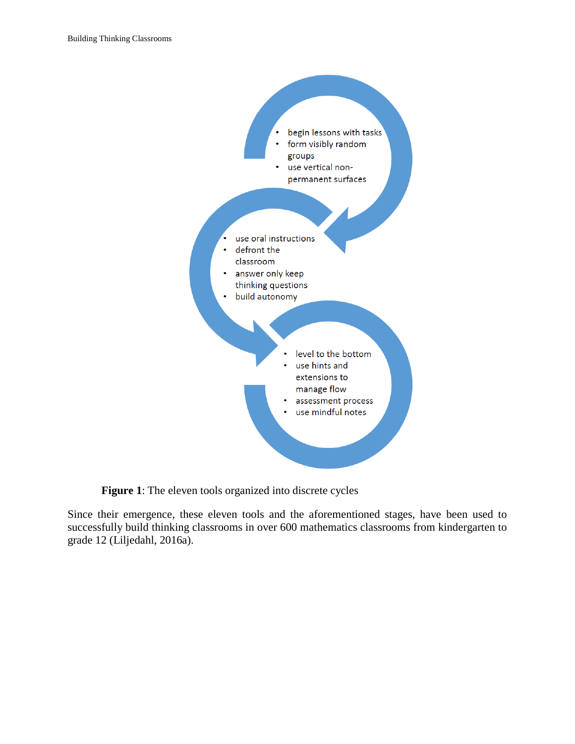

**Figure 1**: The eleven tools organized into discrete cycles

Since their emergence, these eleven tools and the aforementioned stages, have been used to successfully build thinking classrooms in over 600 mathematics classrooms from kindergarten to grade 12 (Liljedahl, 2016a).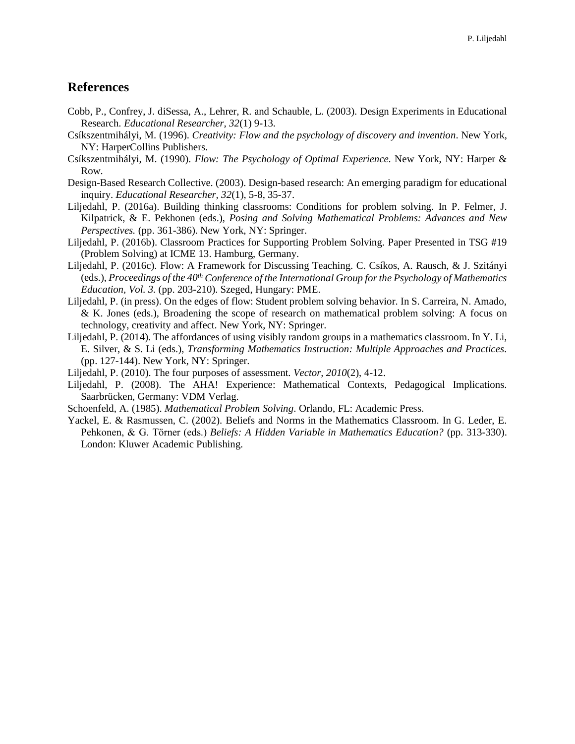#### **References**

- Cobb, P., Confrey, J. diSessa, A., Lehrer, R. and Schauble, L. (2003). Design Experiments in Educational Research. *Educational Researcher, 32*(1) 9-13.
- Csíkszentmihályi, M. (1996). *Creativity: Flow and the psychology of discovery and invention*. New York, NY: HarperCollins Publishers.
- Csíkszentmihályi, M. (1990). *Flow: The Psychology of Optimal Experience*. New York, NY: Harper & Row.
- Design-Based Research Collective. (2003). Design-based research: An emerging paradigm for educational inquiry. *Educational Researcher, 32*(1), 5-8, 35-37.
- Liljedahl, P. (2016a). Building thinking classrooms: Conditions for problem solving. In P. Felmer, J. Kilpatrick, & E. Pekhonen (eds.), *Posing and Solving Mathematical Problems: Advances and New Perspectives.* (pp. 361-386). New York, NY: Springer.
- Liljedahl, P. (2016b). Classroom Practices for Supporting Problem Solving. Paper Presented in TSG #19 (Problem Solving) at ICME 13. Hamburg, Germany.
- Liljedahl, P. (2016c). Flow: A Framework for Discussing Teaching. C. Csíkos, A. Rausch, & J. Szitányi (eds.), *Proceedings of the 40th Conference of the International Group for the Psychology of Mathematics Education, Vol. 3.* (pp. 203-210). Szeged, Hungary: PME.
- Liljedahl, P. (in press). On the edges of flow: Student problem solving behavior. In S. Carreira, N. Amado, & K. Jones (eds.), Broadening the scope of research on mathematical problem solving: A focus on technology, creativity and affect. New York, NY: Springer.
- Liljedahl, P. (2014). The affordances of using visibly random groups in a mathematics classroom. In Y. Li, E. Silver, & S. Li (eds.), *Transforming Mathematics Instruction: Multiple Approaches and Practices*. (pp. 127-144). New York, NY: Springer.
- Liljedahl, P. (2010). The four purposes of assessment. *Vector, 2010*(2), 4-12.
- Liljedahl, P. (2008). The AHA! Experience: Mathematical Contexts, Pedagogical Implications. Saarbrücken, Germany: VDM Verlag.
- Schoenfeld, A. (1985). *Mathematical Problem Solving*. Orlando, FL: Academic Press.
- Yackel, E. & Rasmussen, C. (2002). Beliefs and Norms in the Mathematics Classroom. In G. Leder, E. Pehkonen, & G. Tӧrner (eds.) *Beliefs: A Hidden Variable in Mathematics Education?* (pp. 313-330). London: Kluwer Academic Publishing.